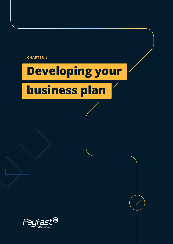

# **Developing your**

# **business plan**

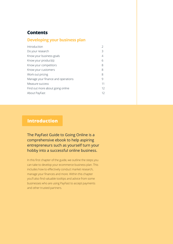# <span id="page-1-0"></span>**Contents**

### **Developing your business plan**

| Introduction                       |    |
|------------------------------------|----|
| Do your research                   | 3  |
| Know your business goals           | 4  |
| Know your product(s)               | 6  |
| Know your competitors              | 8  |
| Know your customers                | 8  |
| Work out pricing                   | 8  |
| Manage your finance and operations | 9  |
| Measure success                    | 11 |
| Find out more about going online   | 12 |
| About PayFast                      | 12 |

# **Introduction**

The PayFast Guide to Going Online is a comprehensive ebook to help aspiring entrepreneurs such as yourself turn your hobby into a successful online business.

In this first chapter of the guide, we outline the steps you can take to develop your ecommerce business plan. This includes how to effectively conduct market research, manage your finances and more. Within this chapter you'll also find valuable tooltips and advice from some businesses who are using PayFast to accept payments and other trusted partners.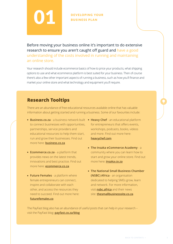<span id="page-2-0"></span>

Before moving your business online it's important to do extensive research to ensure you aren't caught off guard and have a good understanding of the costs involved in running and maintaining an online store.

Your research should include ecommerce basics of how to price your products, what shipping options to use and what ecommerce platform is best suited for your business. Then of course there's also a few other important aspects of running a business, such as how you'll finance and market your online store and what technology and equipment you'll require.

# **Research Tooltips**

There are an abundance of free educational resources available online that has valuable information about getting started and running a business. Some of our favourites include:

- **Business.co.za** a business network built **Heavy Chef** an educational platform to connect businesses with opportunities, partnerships, service providers and educational resources to help them start, run and grow their businesses. Find out more here: **[business.co.za](https://business.co.za/)**
- **Ecommerce.co.za** a platform that provides news on the latest trends, innovations and best practice. Find out more here: **[ecommerce.co.za](https://www.ecommerce.co.za/)**
- **Future Females** a platform where female entrepreneurs can connect, inspire and collaborate with each other, and access the resources they need to succeed. Find out more here: **[futurefemales.co](https://futurefemales.co/)**
- for entrepreneurs that offers events, workshops, podcasts, books, videos and more. Find out more here: **[heavychef.com](https://www.heavychef.com/)**
- **The Insaka eCommerce Academy** a community where you can learn how to start and grow your online store. Find out more here: **[insaka.co.za](https://www.insaka.co.za/)**
- **The National Small Business Chamber (NSBC) Africa** - an organisation dedicated to helping SMEs grow, learn and network. For more information, visit **[nsbc.africa](www.nsbc.africa)** and their news site: **[thesmallbusinesssite.co.za](www.thesmallbusinesssite.co.za)**

The PayFast blog also has an abundance of useful posts that can help in your research – visit the PayFast blog: **[payfast.co.za/blog](https://www.payfast.co.za/blog/)**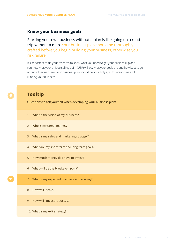#### <span id="page-3-0"></span>**Know your business goals**

Starting your own business without a plan is like going on a road trip without a map. Your business plan should be thoroughly crafted before you begin building your business, otherwise you risk failure.

It's important to do your research to know what you need to get your business up and running, what your unique selling point (USP) will be, what your goals are and how best to go about achieving them. Your business plan should be your holy grail for organising and running your business.

# **Tooltip**

**Questions to ask yourself when developing your business plan:**

- 1. What is the vision of my business?
- 2. Who is my target market?
- 3. What is my sales and marketing strategy?
- 4. What are my short term and long term goals?
- 5. How much money do I have to invest?
- 6. What will be the breakeven point?
- 7. What is my expected burn rate and runway?
- 8. How will I scale?
- 9. How will I measure success?
- 10. What is my exit strategy?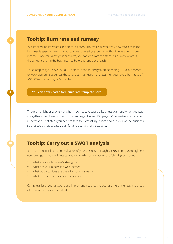# **Tooltip: Burn rate and runway**

Investors will be interested in a startup's burn rate, which is effectively how much cash the business is spending each month to cover operating expenses without generating its own income. Once you know your burn rate, you can calculate the startup's runway, which is the amount of time the business has before it runs out of cash.

For example: If you have R50,000 in startup capital and you are spending R10,000 a month on your operating expenses (hosting fees, marketing, rent, etc) then you have a burn rate of R10,000 and a runway of 5 months.

**[You can download a free burn rate template here](https://corporatefinanceinstitute.com/resources/knowledge/modeling/burn-rate/)**

There is no right or wrong way when it comes to creating a business plan, and when you put it together it may be anything from a few pages to over 100 pages. What matters is that you understand what steps you need to take to successfully launch and run your online business so that you can adequately plan for and deal with any setbacks.

# **Tooltip: Carry out a SWOT analysis**

It can be beneficial to do an evaluation of your business through a **SWOT** analysis to highlight your strengths and weaknesses. You can do this by answering the following questions:

- **•** What are your business's **s**trengths?
- **•** What are your business's **w**eaknesses?
- **•** What **o**pportunities are there for your business?
- **•** What are the **t**hreats to your business?

Compile a list of your answers and implement a strategy to address the challenges and areas of improvements you identified.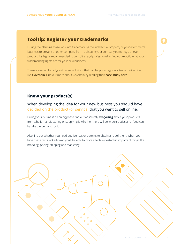# <span id="page-5-0"></span>**Tooltip: Register your trademarks**

During the planning stage look into trademarking the intellectual property of your ecommerce business to prevent another company from replicating your company name, logo or even product. It's highly recommended to consult a legal professional to find out exactly what your trademarking rights are for your new business.

There are a number of great online solutions that can help you register a trademark online, like **[Govchain](https://www.govchain.co.za/?gclid=CjwKCAjw87SHBhBiEiwAukSeUQRhtHg5iT6EX6CEa_-2IuqMQZIdbI2b0bIc731tH03FCEaAKaUAzRoCiA4QAvD_BwE)**. Find out more about Govchain by reading their **[case study here](https://www.payfast.co.za/blog/how-govchain-is-helping-businesses-get-up-and-running/)**

### **Know your product(s)**

When developing the idea for your new business you should have decided on the product (or service) that you want to sell online.

During your business planning phase find out absolutely *everything* about your products, from who is manufacturing or supplying it, whether there will be import duties and if you can handle the demand for it.

Also find out whether you need any licenses or permits to obtain and sell them. When you have these facts locked down you'll be able to more effectively establish important things like branding, pricing, shipping and marketing.

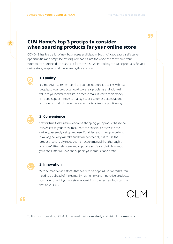"

# <span id="page-6-0"></span>**CLM Home's top 3 protips to consider when sourcing products for your online store**

COVID-19 has bred a lot of new businesses and ideas in South Africa, creating self-starter opportunities and propelled existing companies into the world of ecommerce. Your ecommerce store needs to stand out from the rest. When looking to source products for your online store, keep in mind the following three factors:



#### **1. Quality**

It's important to remember that your online store is dealing with real people, so your product should solve real problems and add real value to your consumer's life in order to make it worth their money, time and support. Strive to manage your customer's expectations and offer a product that enhances or contributes in a positive way.



#### **2. Convenience**

Staying true to the nature of online shopping, your product has to be convenient to your consumer. From the checkout process to the delivery, assembly/set up and use. Consider lead times, pre-orders, how long delivery will take and how user-friendly it is to use the product - who really reads the instruction manual that thoroughly, anymore? After-sales care and support also play a role in how much your consumer will love and support your product and brand!



#### **3. Innovation**

With so many online stores that seem to be popping up overnight, you need to be ahead of the game. By having new and innovative products, you have something that sets you apart from the rest, and you can use that as your USP.



"

To find out more about CLM Home, read their **[case study](https://www.payfast.co.za/blog/how-clever-little-monkey-built-a-beautiful-brand-with-unique-products/)** and visit **[clmhome.co.za](https://clmhome.co.za/)**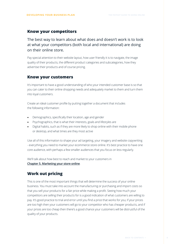### <span id="page-7-0"></span>**Know your competitors**

The best way to learn about what does and doesn't work is to look at what your competitors (both local and international) are doing on their online store.

Pay special attention to their website layout, how user friendly it is to navigate, the image quality of their products, the different product categories and subcategories, how they advertise their products and of course pricing.

#### **Know your customers**

It's important to have a good understanding of who your intended customer base is so that you can cater to their online shopping needs and adequately market to them and turn them into loyal customers.

Create an ideal customer profile by putting together a document that includes the following information:

- Demographics, specifically their location, age and gender
- Psychographics, that is what their interests, goals and lifestyles are
- Digital habits, such as if they are more likely to shop online with their mobile phone or desktop, and what times are they most active

Use all of this information to shape your ad targeting, your imagery and website copywriting - everything you need to market your ecommerce store online. It's best practice to have one core audience, with perhaps a few smaller audiences that you focus on less regularly.

We'll talk about how best to reach and market to your customers in **[Chapter 5. Marketing your store online](https://www.payfast.co.za/resources/guides/payfast-guide-to-going-online/)**.

### **Work out pricing**

This is one of the most important things that will determine the success of your online business. You must take into account the manufacturing or purchasing and import costs so that you sell your products for a fair price while making a profit. Seeing how much your competitors are selling their products for is a good indication of what customers are willing to pay. It's good practice to trial and error until you find a price that works for you; if your prices are too high then your customers will go to your competitor who has cheaper products, and if your prices are too cheap then there's a good chance your customers will be distrustful of the quality of your products.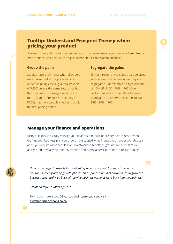# <span id="page-8-0"></span>**Tooltip: Understand Prospect Theory when pricing your product**

Prospect Theory describes how people react to *perceived* losses or gains when offered two or more options, which can have a big influence on their decision to purchase.

Studies have shown that when shoppers were presented with a price and no added shipping cost (e.g. a total payable of R500) versus the same total price but the shipping cost disaggregated (e.g. a total payable of R450 + 50 shipping  $=$ R500) that more people checked out with the first pricing option.

#### **Group the pains Segregate the gains**

Similarly research indicates that perceived gains are more effective when they are segregated. For example a single discount of 40% off (R100 - 40% = R60) didn't perform as well as when the offer was segregated across two discounts (R100 -  $25\% - 20\% = R60$ ).

#### **Manage your finance and operations**

Being able to successfully manage your finances can make or break your business. When drafting your business plan you should have gauged what finances you have at your disposal and if you require a business loan or investment to get off the ground. To the best of your ability, predict what your monthly revenue and overheads will be to form a realistic budget.

*"I think the biggest obstacle for most entrepreneurs or small business is access to capital, especially during growth phases. One of our values has always been to grow the business organically, so basically sowing business earnings right back into the business."*

*- Zikhona Tefu, Founder of O'live*

To find out more about O'live, read their **[case study](https://www.payfast.co.za/blog/how-olive-turned-handmade-soap-into-a-profitable-business/)** and visit **<olivehandmadesoaps.co.za>**

"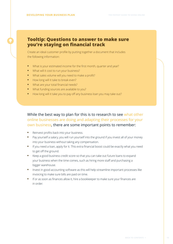# **Tooltip: Questions to answer to make sure you're staying on financial track**

Create an ideal customer profile by putting together a document that includes the following information:

- **•** What is your estimated income for the first month, quarter and year?
- **•** What will it cost to run your business?
- **•** What sales volume will you need to make a profit?
- **•** How long will it take to break even?
- **•** What are your total financial needs?
- **•** What funding sources are available to you?
- **•** How long will it take you to pay off any business loan you may take out?

### While the best way to plan for this is to research to see what other online businesses are doing and adapting their processes for your own business, there are some important points to remember:

- **•** Reinvest profits back into your business.
- **•** Pay yourself a salary, you will run yourself into the ground if you invest all of your money into your business without taking any compensation.
- **•** If you need a loan, apply for it. This extra financial boost could be exactly what you need to get off the ground.
- **•** Keep a good business credit score so that you can take out future loans to expand your business when the time comes, such as hiring more staff and purchasing a bigger warehouse.
- **•** Invest in good accounting software as this will help streamline important processes like invoicing to make sure bills are paid on time.
- **•** If or as soon as finances allow it, hire a bookkeeper to make sure your finances are in order.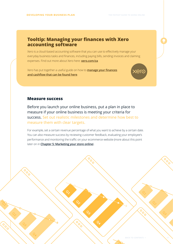# <span id="page-10-0"></span>**Tooltip: Managing your finances with Xero accounting software**

Xero is a cloud-based accounting software that you can use to effectively manage your everyday business tasks and finances, including paying bills, sending invoices and claiming expenses. Find out more about Xero here: **<xero.com/za>**

Xero has put together a useful guide on how to **[manage your finances](https://www.xero.com/za/resources/small-business-guides/business-management/manage-cashflow/) [and cashflow that can be found here](https://www.xero.com/za/resources/small-business-guides/business-management/manage-cashflow/)**.



#### **Measure success**

Before you launch your online business, put a plan in place to measure if your online business is meeting your criteria for success. Set out realistic milestones and determine how best to measure them with clear targets.

For example, set a certain revenue percentage of what you want to achieve by a certain date. You can also measure success by reviewing customer feedback, evaluating your employee's performance and monitoring the traffic on your ecommerce website (more about this point later on in **[Chapter 5: Marketing your store online](https://www.payfast.co.za/resources/guides/payfast-guide-to-going-online/)**).